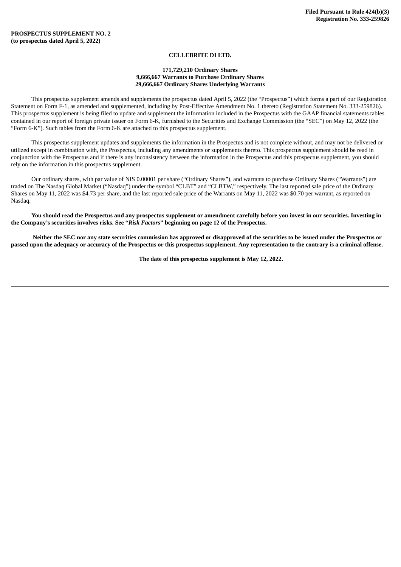### **CELLEBRITE DI LTD.**

#### **171,729,210 Ordinary Shares 9,666,667 Warrants to Purchase Ordinary Shares 29,666,667 Ordinary Shares Underlying Warrants**

This prospectus supplement amends and supplements the prospectus dated April 5, 2022 (the "Prospectus") which forms a part of our Registration Statement on Form F-1, as amended and supplemented, including by Post-Effective Amendment No. 1 thereto (Registration Statement No. 333-259826). This prospectus supplement is being filed to update and supplement the information included in the Prospectus with the GAAP financial statements tables contained in our report of foreign private issuer on Form 6-K, furnished to the Securities and Exchange Commission (the "SEC") on May 12, 2022 (the "Form 6-K"). Such tables from the Form 6-K are attached to this prospectus supplement.

This prospectus supplement updates and supplements the information in the Prospectus and is not complete without, and may not be delivered or utilized except in combination with, the Prospectus, including any amendments or supplements thereto. This prospectus supplement should be read in conjunction with the Prospectus and if there is any inconsistency between the information in the Prospectus and this prospectus supplement, you should rely on the information in this prospectus supplement.

Our ordinary shares, with par value of NIS 0.00001 per share ("Ordinary Shares"), and warrants to purchase Ordinary Shares ("Warrants") are traded on The Nasdaq Global Market ("Nasdaq") under the symbol "CLBT" and "CLBTW," respectively. The last reported sale price of the Ordinary Shares on May 11, 2022 was \$4.73 per share, and the last reported sale price of the Warrants on May 11, 2022 was \$0.70 per warrant, as reported on Nasdaq.

You should read the Prospectus and any prospectus supplement or amendment carefully before you invest in our securities. Investing in **the Company's securities involves risks. See "***Risk Factors***" beginning on page 12 of the Prospectus.**

Neither the SEC nor any state securities commission has approved or disapproved of the securities to be issued under the Prospectus or passed upon the adequacy or accuracy of the Prospectus or this prospectus supplement. Any representation to the contrary is a criminal offense.

**The date of this prospectus supplement is May 12, 2022.**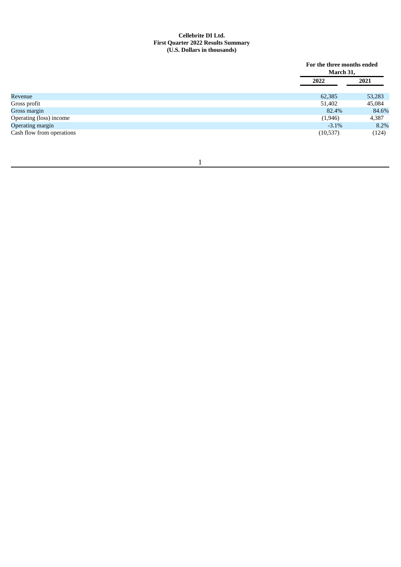## **Cellebrite DI Ltd. First Quarter 2022 Results Summary (U.S. Dollars in thousands)**

|                           |          | For the three months ended<br>March 31, |  |  |
|---------------------------|----------|-----------------------------------------|--|--|
|                           | 2022     | 2021                                    |  |  |
| Revenue                   | 62,385   | 53,283                                  |  |  |
| Gross profit              | 51,402   | 45,084                                  |  |  |
| Gross margin              | 82.4%    | 84.6%                                   |  |  |
| Operating (loss) income   | (1,946)  | 4,387                                   |  |  |
| Operating margin          | $-3.1\%$ | 8.2%                                    |  |  |
| Cash flow from operations | (10,537) | (124)                                   |  |  |

# 1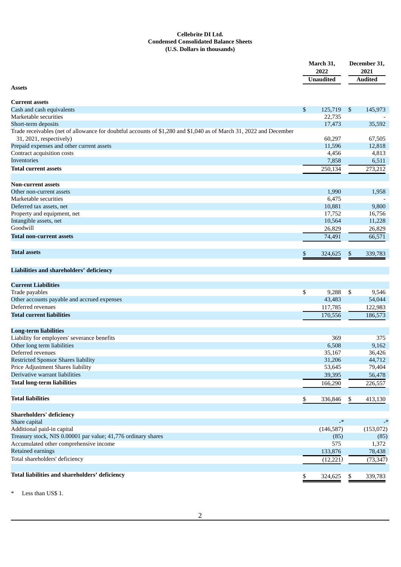## **Cellebrite DI Ltd. Condensed Consolidated Balance Sheets (U.S. Dollars in thousands)**

|                                                                                                                                               |    | March 31,<br>2022        |      | December 31,<br>2021 |  |
|-----------------------------------------------------------------------------------------------------------------------------------------------|----|--------------------------|------|----------------------|--|
|                                                                                                                                               |    | <b>Unaudited</b>         |      | <b>Audited</b>       |  |
| <b>Assets</b>                                                                                                                                 |    |                          |      |                      |  |
| <b>Current assets</b>                                                                                                                         |    |                          |      |                      |  |
| Cash and cash equivalents                                                                                                                     | \$ | 125,719                  | - \$ | 145,973              |  |
| Marketable securities                                                                                                                         |    | 22,735                   |      |                      |  |
| Short-term deposits                                                                                                                           |    | 17,473                   |      | 35,592               |  |
| Trade receivables (net of allowance for doubtful accounts of \$1,280 and \$1,040 as of March 31, 2022 and December<br>31, 2021, respectively) |    | 60,297                   |      | 67,505               |  |
|                                                                                                                                               |    |                          |      |                      |  |
| Prepaid expenses and other current assets                                                                                                     |    | 11,596                   |      | 12,818               |  |
| Contract acquisition costs<br><b>Inventories</b>                                                                                              |    | 4,456                    |      | 4,813                |  |
|                                                                                                                                               |    | 7,858                    |      | 6,511                |  |
| <b>Total current assets</b>                                                                                                                   |    | 250,134                  |      | 273,212              |  |
| <b>Non-current assets</b>                                                                                                                     |    |                          |      |                      |  |
| Other non-current assets                                                                                                                      |    | 1,990                    |      | 1,958                |  |
| Marketable securities                                                                                                                         |    | 6,475                    |      |                      |  |
| Deferred tax assets, net                                                                                                                      |    | 10,881                   |      | 9,800                |  |
| Property and equipment, net                                                                                                                   |    | 17,752                   |      | 16,756               |  |
| Intangible assets, net                                                                                                                        |    | 10,564                   |      | 11,228               |  |
| Goodwill                                                                                                                                      |    | 26,829                   |      | 26,829               |  |
| <b>Total non-current assets</b>                                                                                                               |    | 74,491                   |      | 66,571               |  |
| <b>Total assets</b>                                                                                                                           | \$ | 324,625                  | \$   | 339,783              |  |
|                                                                                                                                               |    |                          |      |                      |  |
| Liabilities and shareholders' deficiency                                                                                                      |    |                          |      |                      |  |
| <b>Current Liabilities</b>                                                                                                                    |    |                          |      |                      |  |
| Trade payables                                                                                                                                | \$ | 9,288                    | \$   | 9,546                |  |
| Other accounts payable and accrued expenses                                                                                                   |    | 43,483                   |      | 54,044               |  |
| Deferred revenues                                                                                                                             |    | 117,785                  |      | 122,983              |  |
| <b>Total current liabilities</b>                                                                                                              |    | 170,556                  |      | 186,573              |  |
| <b>Long-term liabilities</b>                                                                                                                  |    |                          |      |                      |  |
| Liability for employees' severance benefits                                                                                                   |    | 369                      |      | 375                  |  |
| Other long term liabilities                                                                                                                   |    | 6,508                    |      | 9,162                |  |
| Deferred revenues                                                                                                                             |    | 35,167                   |      | 36,426               |  |
| <b>Restricted Sponsor Shares liability</b>                                                                                                    |    | 31,206                   |      | 44,712               |  |
| Price Adjustment Shares liability                                                                                                             |    | 53,645                   |      | 79,404               |  |
| Derivative warrant liabilities                                                                                                                |    | 39,395                   |      | 56,478               |  |
| <b>Total long-term liabilities</b>                                                                                                            |    |                          |      | 226,557              |  |
|                                                                                                                                               |    | 166,290                  |      |                      |  |
| <b>Total liabilities</b>                                                                                                                      | \$ | 336,846                  | \$   | 413,130              |  |
| <b>Shareholders' deficiency</b>                                                                                                               |    |                          |      |                      |  |
| Share capital                                                                                                                                 |    | $\overline{\phantom{a}}$ |      | -*                   |  |
| Additional paid-in capital                                                                                                                    |    | (146, 587)               |      | (153,072)            |  |
| Treasury stock, NIS 0.00001 par value; 41,776 ordinary shares                                                                                 |    | (85)                     |      | (85)                 |  |
| Accumulated other comprehensive income                                                                                                        |    | 575                      |      | 1,372                |  |
| Retained earnings                                                                                                                             |    | 133,876                  |      | 78,438               |  |
|                                                                                                                                               |    |                          |      |                      |  |
| Total shareholders' deficiency                                                                                                                |    | (12, 221)                |      | (73, 347)            |  |
| Total liabilities and shareholders' deficiency                                                                                                |    | 324,625                  | \$   | 339,783              |  |

\* Less than US\$ 1.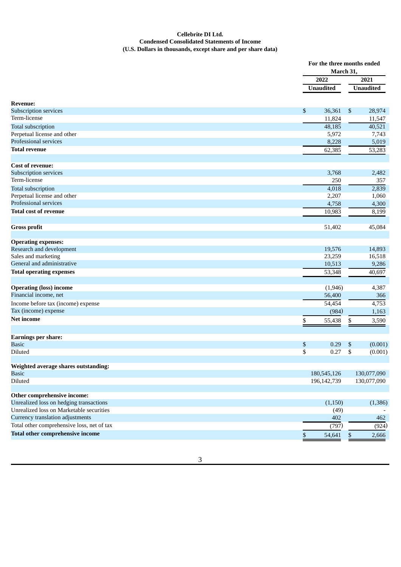### **Cellebrite DI Ltd. Condensed Consolidated Statements of Income (U.S. Dollars in thousands, except share and per share data)**

|                                            |                  | For the three months ended<br>March 31, |
|--------------------------------------------|------------------|-----------------------------------------|
|                                            | 2022             | 2021                                    |
|                                            | <b>Unaudited</b> | <b>Unaudited</b>                        |
| <b>Revenue:</b>                            |                  |                                         |
| Subscription services                      | 36,361<br>\$     | \$<br>28,974                            |
| Term-license                               | 11,824           | 11,547                                  |
| <b>Total subscription</b>                  | 48,185           | 40,521                                  |
| Perpetual license and other                | 5,972            | 7,743                                   |
| Professional services                      | 8,228            | 5,019                                   |
| <b>Total revenue</b>                       | 62,385           | 53,283                                  |
|                                            |                  |                                         |
| <b>Cost of revenue:</b>                    |                  |                                         |
| Subscription services                      | 3,768            | 2,482                                   |
| Term-license                               | 250              | 357                                     |
| <b>Total subscription</b>                  | 4,018            | 2,839                                   |
| Perpetual license and other                | 2,207            | 1,060                                   |
| Professional services                      | 4,758            | 4,300                                   |
| <b>Total cost of revenue</b>               | 10,983           | 8,199                                   |
| <b>Gross profit</b>                        | 51,402           | 45,084                                  |
| <b>Operating expenses:</b>                 |                  |                                         |
| Research and development                   | 19,576           | 14,893                                  |
| Sales and marketing                        | 23,259           | 16,518                                  |
| General and administrative                 | 10,513           | 9,286                                   |
| <b>Total operating expenses</b>            | 53,348           | 40,697                                  |
|                                            |                  |                                         |
| <b>Operating (loss) income</b>             | (1,946)          | 4,387                                   |
| Financial income, net                      | 56,400           | 366                                     |
| Income before tax (income) expense         | 54,454           | 4,753                                   |
| Tax (income) expense                       | (984)            | 1,163                                   |
| <b>Net income</b>                          | \$<br>55,438     | 3,590<br>\$                             |
| <b>Earnings per share:</b>                 |                  |                                         |
| <b>Basic</b>                               | \$<br>0.29       | \$<br>(0.001)                           |
| Diluted                                    | \$<br>0.27       | \$<br>(0.001)                           |
| Weighted average shares outstanding:       |                  |                                         |
| <b>Basic</b>                               | 180,545,126      | 130,077,090                             |
| Diluted                                    | 196,142,739      | 130,077,090                             |
| Other comprehensive income:                |                  |                                         |
| Unrealized loss on hedging transactions    | (1, 150)         | (1, 386)                                |
| Unrealized loss on Marketable securities   | (49)             |                                         |
| Currency translation adjustments           | 402              | 462                                     |
| Total other comprehensive loss, net of tax | (797)            | (924)                                   |
| <b>Total other comprehensive income</b>    |                  |                                         |
|                                            | \$<br>54,641     | \$<br>2,666                             |